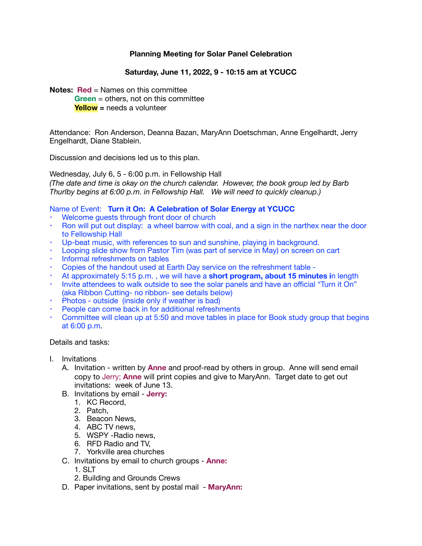## **Planning Meeting for Solar Panel Celebration**

## **Saturday, June 11, 2022, 9 - 10:15 am at YCUCC**

**Notes: Red** = Names on this committee

**Green** = others, not on this committee **Yellow =** needs a volunteer

Attendance: Ron Anderson, Deanna Bazan, MaryAnn Doetschman, Anne Engelhardt, Jerry Engelhardt, Diane Stablein.

Discussion and decisions led us to this plan.

Wednesday, July 6, 5 - 6:00 p.m. in Fellowship Hall *(The date and time is okay on the church calendar. However, the book group led by Barb Thurlby begins at 6:00 p.m. in Fellowship Hall. We will need to quickly cleanup.)* 

## Name of Event: **Turn it On: A Celebration of Solar Energy at YCUCC**

- Welcome guests through front door of church
- Ron will put out display: a wheel barrow with coal, and a sign in the narthex near the door to Fellowship Hall
- Up-beat music, with references to sun and sunshine, playing in background.
- Looping slide show from Pastor Tim (was part of service in May) on screen on cart
- Informal refreshments on tables
- Copies of the handout used at Earth Day service on the refreshment table -
- At approximately 5:15 p.m. , we will have a **short program, about 15 minutes i**n length
- Invite attendees to walk outside to see the solar panels and have an official "Turn it On" (aka Ribbon Cutting- no ribbon- see details below)
- Photos outside (inside only if weather is bad)
- People can come back in for additional refreshments
- Committee will clean up at 5:50 and move tables in place for Book study group that begins at 6:00 p.m.

### Details and tasks:

- I. Invitations
	- A. Invitation written by **Anne** and proof-read by others in group. Anne will send email copy to Jerry; **Anne** will print copies and give to MaryAnn. Target date to get out invitations: week of June 13.
	- B. Invitations by email **Jerry:**
		- 1. KC Record,
		- 2. Patch,
		- 3. Beacon News,
		- 4. ABC TV news,
		- 5. WSPY -Radio news,
		- 6. RFD Radio and TV,
		- 7. Yorkville area churches
	- C. Invitations by email to church groups **Anne:** 
		- 1. SLT
		- 2. Building and Grounds Crews
	- D. Paper invitations, sent by postal mail **MaryAnn:**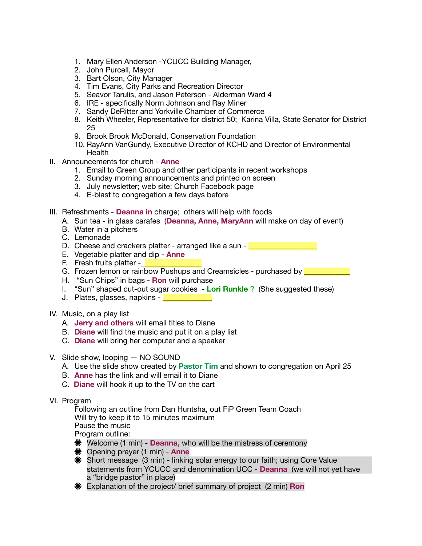- 1. Mary Ellen Anderson -YCUCC Building Manager,
- 2. John Purcell, Mayor
- 3. Bart Olson, City Manager
- 4. Tim Evans, City Parks and Recreation Director
- 5. Seavor Tarulis, and Jason Peterson Alderman Ward 4
- 6. IRE specifically Norm Johnson and Ray Miner
- 7. Sandy DeRitter and Yorkville Chamber of Commerce
- 8. Keith Wheeler, Representative for district 50; Karina Villa, State Senator for District 25
- 9. Brook Brook McDonald, Conservation Foundation
- 10. RayAnn VanGundy, Executive Director of KCHD and Director of Environmental **Health**
- II. Announcements for church **Anne** 
	- 1. Email to Green Group and other participants in recent workshops
	- 2. Sunday morning announcements and printed on screen
	- 3. July newsletter; web site; Church Facebook page
	- 4. E-blast to congregation a few days before
- III. Refreshments **Deanna in** charge; others will help with foods
	- A. Sun tea in glass carafes (**Deanna, Anne, MaryAnn** will make on day of event)
	- B. Water in a pitchers
	- C. Lemonade
	- D. Cheese and crackers platter arranged like a sun -
	- E. Vegetable platter and dip **Anne**
	- F. Fresh fruits platter  $\vert$
	- G. Frozen lemon or rainbow Pushups and Creamsicles purchased by
	- H. "Sun Chips" in bags **Ron** will purchase
	- I. "Sun" shaped cut-out sugar cookies **Lori Runkle** ? (She suggested these)
	- J. Plates, glasses, napkins -
- IV. Music, on a play list
	- A. **Jerry and others** will email titles to Diane
	- B. **Diane** will find the music and put it on a play list
	- C. **Diane** will bring her computer and a speaker
- V. Slide show, looping NO SOUND
	- A. Use the slide show created by **Pastor Tim** and shown to congregation on April 25
	- B. **Anne** has the link and will email it to Diane
	- C. **Diane** will hook it up to the TV on the cart
- VI. Program

Following an outline from Dan Huntsha, out FiP Green Team Coach Will try to keep it to 15 minutes maximum Pause the music Program outline:

- Welcome (1 min) **Deanna,** who will be the mistress of ceremony
- Opening prayer (1 min) **Anne**
- Short message (3 min) linking solar energy to our faith; using Core Value statements from YCUCC and denomination UCC - **Deanna** (we will not yet have a "bridge pastor" in place)
- Explanation of the project/ brief summary of project (2 min) **Ron**